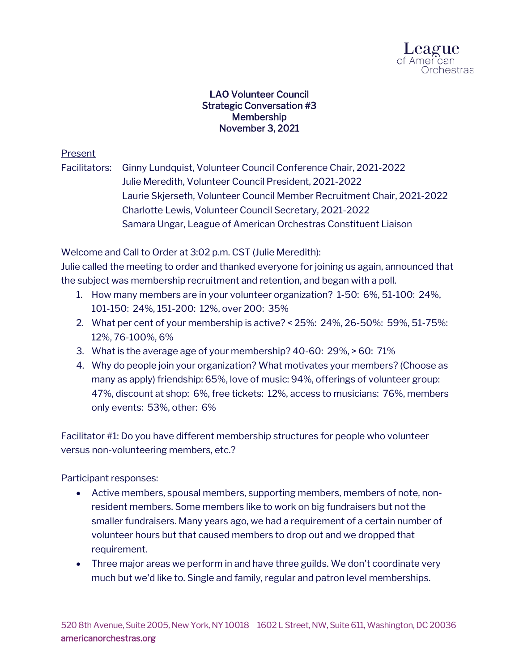

## LAO Volunteer Council Strategic Conversation #3 Membership November 3, 2021

## Present

Facilitators: Ginny Lundquist, Volunteer Council Conference Chair, 2021-2022 Julie Meredith, Volunteer Council President, 2021-2022 Laurie Skjerseth, Volunteer Council Member Recruitment Chair, 2021-2022 Charlotte Lewis, Volunteer Council Secretary, 2021-2022 Samara Ungar, League of American Orchestras Constituent Liaison

Welcome and Call to Order at 3:02 p.m. CST (Julie Meredith):

Julie called the meeting to order and thanked everyone for joining us again, announced that the subject was membership recruitment and retention, and began with a poll.

- 1. How many members are in your volunteer organization? 1-50: 6%, 51-100: 24%, 101-150: 24%, 151-200: 12%, over 200: 35%
- 2. What per cent of your membership is active? < 25%: 24%, 26-50%: 59%, 51-75%: 12%, 76-100%, 6%
- 3. What is the average age of your membership? 40-60: 29%, > 60: 71%
- 4. Why do people join your organization? What motivates your members? (Choose as many as apply) friendship: 65%, love of music: 94%, offerings of volunteer group: 47%, discount at shop: 6%, free tickets: 12%, access to musicians: 76%, members only events: 53%, other: 6%

Facilitator #1: Do you have different membership structures for people who volunteer versus non-volunteering members, etc.?

Participant responses:

- Active members, spousal members, supporting members, members of note, nonresident members. Some members like to work on big fundraisers but not the smaller fundraisers. Many years ago, we had a requirement of a certain number of volunteer hours but that caused members to drop out and we dropped that requirement.
- Three major areas we perform in and have three guilds. We don't coordinate very much but we'd like to. Single and family, regular and patron level memberships.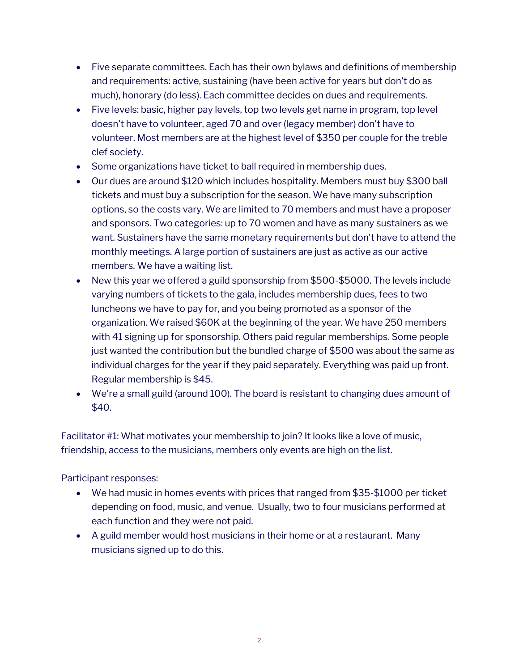- Five separate committees. Each has their own bylaws and definitions of membership and requirements: active, sustaining (have been active for years but don't do as much), honorary (do less). Each committee decides on dues and requirements.
- Five levels: basic, higher pay levels, top two levels get name in program, top level doesn't have to volunteer, aged 70 and over (legacy member) don't have to volunteer. Most members are at the highest level of \$350 per couple for the treble clef society.
- Some organizations have ticket to ball required in membership dues.
- Our dues are around \$120 which includes hospitality. Members must buy \$300 ball tickets and must buy a subscription for the season. We have many subscription options, so the costs vary. We are limited to 70 members and must have a proposer and sponsors. Two categories: up to 70 women and have as many sustainers as we want. Sustainers have the same monetary requirements but don't have to attend the monthly meetings. A large portion of sustainers are just as active as our active members. We have a waiting list.
- New this year we offered a guild sponsorship from \$500-\$5000. The levels include varying numbers of tickets to the gala, includes membership dues, fees to two luncheons we have to pay for, and you being promoted as a sponsor of the organization. We raised \$60K at the beginning of the year. We have 250 members with 41 signing up for sponsorship. Others paid regular memberships. Some people just wanted the contribution but the bundled charge of \$500 was about the same as individual charges for the year if they paid separately. Everything was paid up front. Regular membership is \$45.
- We're a small guild (around 100). The board is resistant to changing dues amount of \$40.

Facilitator #1: What motivates your membership to join? It looks like a love of music, friendship, access to the musicians, members only events are high on the list.

Participant responses:

- We had music in homes events with prices that ranged from \$35-\$1000 per ticket depending on food, music, and venue. Usually, two to four musicians performed at each function and they were not paid.
- A guild member would host musicians in their home or at a restaurant. Many musicians signed up to do this.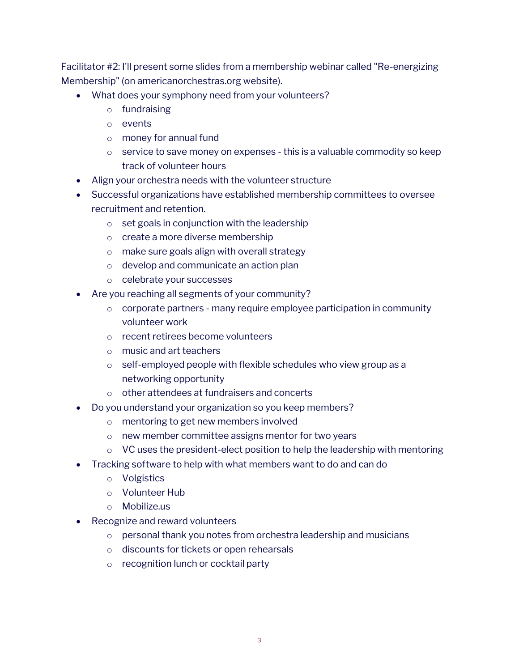Facilitator #2: I'll present some slides from a membership webinar called "Re-energizing Membership" (on americanorchestras.org website).

- What does your symphony need from your volunteers?
	- o fundraising
	- o events
	- o money for annual fund
	- $\circ$  service to save money on expenses this is a valuable commodity so keep track of volunteer hours
- Align your orchestra needs with the volunteer structure
- Successful organizations have established membership committees to oversee recruitment and retention.
	- o set goals in conjunction with the leadership
	- o create a more diverse membership
	- o make sure goals align with overall strategy
	- o develop and communicate an action plan
	- o celebrate your successes
- Are you reaching all segments of your community?
	- $\circ$  corporate partners many require employee participation in community volunteer work
	- o recent retirees become volunteers
	- o music and art teachers
	- o self-employed people with flexible schedules who view group as a networking opportunity
	- o other attendees at fundraisers and concerts
- Do you understand your organization so you keep members?
	- o mentoring to get new members involved
	- o new member committee assigns mentor for two years
	- $\circ$  VC uses the president-elect position to help the leadership with mentoring
- Tracking software to help with what members want to do and can do
	- o Volgistics
	- o Volunteer Hub
	- o Mobilize.us
- Recognize and reward volunteers
	- o personal thank you notes from orchestra leadership and musicians
	- o discounts for tickets or open rehearsals
	- o recognition lunch or cocktail party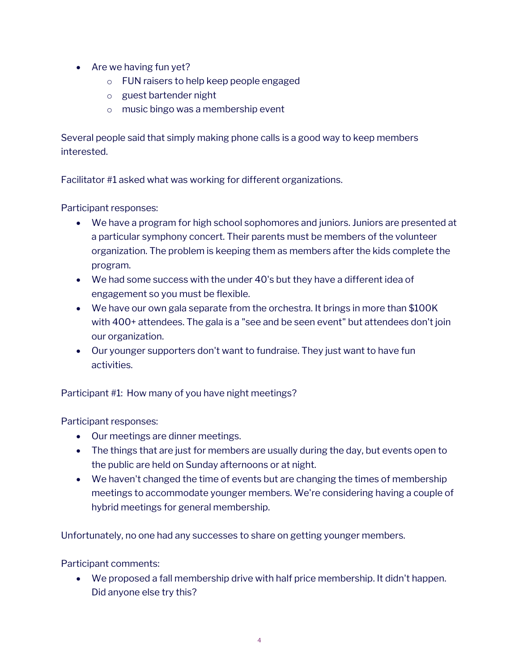- Are we having fun yet?
	- o FUN raisers to help keep people engaged
	- o guest bartender night
	- o music bingo was a membership event

Several people said that simply making phone calls is a good way to keep members interested.

Facilitator #1 asked what was working for different organizations.

Participant responses:

- We have a program for high school sophomores and juniors. Juniors are presented at a particular symphony concert. Their parents must be members of the volunteer organization. The problem is keeping them as members after the kids complete the program.
- We had some success with the under 40's but they have a different idea of engagement so you must be flexible.
- We have our own gala separate from the orchestra. It brings in more than \$100K with 400+ attendees. The gala is a "see and be seen event" but attendees don't join our organization.
- Our younger supporters don't want to fundraise. They just want to have fun activities.

Participant #1: How many of you have night meetings?

Participant responses:

- Our meetings are dinner meetings.
- The things that are just for members are usually during the day, but events open to the public are held on Sunday afternoons or at night.
- We haven't changed the time of events but are changing the times of membership meetings to accommodate younger members. We're considering having a couple of hybrid meetings for general membership.

Unfortunately, no one had any successes to share on getting younger members.

Participant comments:

• We proposed a fall membership drive with half price membership. It didn't happen. Did anyone else try this?